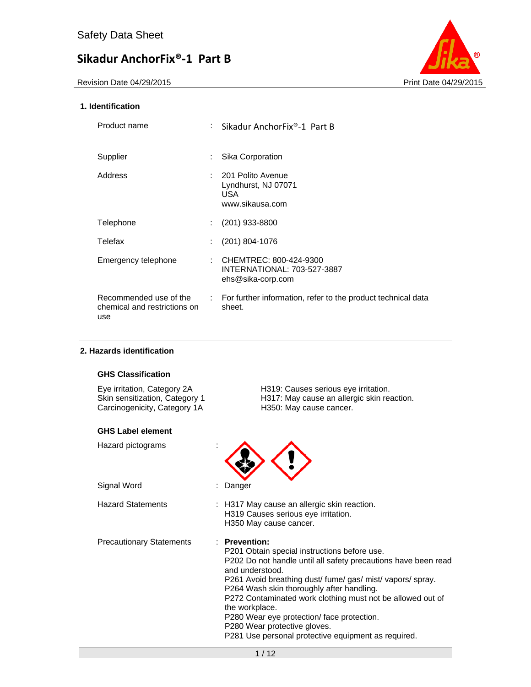Revision Date 04/29/2015 **Print Date 04/29/2015** Print Date 04/29/2015



#### **1. Identification**

| Product name                                                  | t i           | Sikadur AnchorFix®-1 Part B                                                        |
|---------------------------------------------------------------|---------------|------------------------------------------------------------------------------------|
| Supplier                                                      | ÷.            | Sika Corporation                                                                   |
| Address                                                       |               | : 201 Polito Avenue<br>Lyndhurst, NJ 07071<br>USA.<br>www.sikausa.com              |
| Telephone                                                     | ÷.            | $(201)$ 933-8800                                                                   |
| Telefax                                                       | ÷             | $(201)$ 804-1076                                                                   |
| Emergency telephone                                           |               | : CHEMTREC: $800 - 424 - 9300$<br>INTERNATIONAL: 703-527-3887<br>ehs@sika-corp.com |
| Recommended use of the<br>chemical and restrictions on<br>use | $\mathcal{L}$ | For further information, refer to the product technical data<br>sheet.             |

#### **2. Hazards identification**

#### **GHS Classification**

Carcinogenicity, Category 1A H350: May cause cancer.

#### **GHS Label element**

Hazard pictograms :

Signal Word : Danger

Eye irritation, Category 2A H319: Causes serious eye irritation. Skin sensitization, Category 1 H317: May cause an allergic skin reaction.



Hazard Statements : H317 May cause an allergic skin reaction. H319 Causes serious eye irritation. H350 May cause cancer.

Precautionary Statements : **Prevention:** 

P201 Obtain special instructions before use. P202 Do not handle until all safety precautions have been read and understood. P261 Avoid breathing dust/ fume/ gas/ mist/ vapors/ spray. P264 Wash skin thoroughly after handling. P272 Contaminated work clothing must not be allowed out of the workplace. P280 Wear eye protection/ face protection. P280 Wear protective gloves. P281 Use personal protective equipment as required.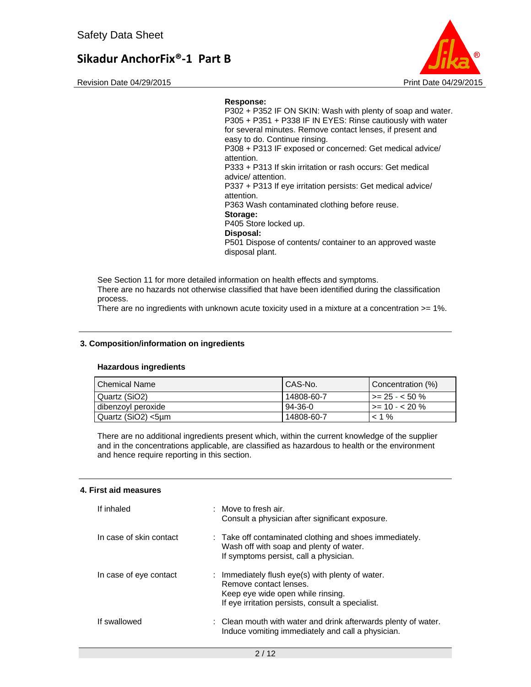Revision Date 04/29/2015 **Print Date 04/29/2015** Print Date 04/29/2015

#### **Response:**

P302 + P352 IF ON SKIN: Wash with plenty of soap and water. P305 + P351 + P338 IF IN EYES: Rinse cautiously with water for several minutes. Remove contact lenses, if present and easy to do. Continue rinsing. P308 + P313 IF exposed or concerned: Get medical advice/ attention. P333 + P313 If skin irritation or rash occurs: Get medical advice/ attention. P337 + P313 If eye irritation persists: Get medical advice/ attention. P363 Wash contaminated clothing before reuse. **Storage:**  P405 Store locked up. **Disposal:**  P501 Dispose of contents/ container to an approved waste

See Section 11 for more detailed information on health effects and symptoms. There are no hazards not otherwise classified that have been identified during the classification

disposal plant.

process.

There are no ingredients with unknown acute toxicity used in a mixture at a concentration >= 1%.

#### **3. Composition/information on ingredients**

#### **Hazardous ingredients**

| l Chemical Name    | CAS-No.    | Concentration (%)           |
|--------------------|------------|-----------------------------|
| Quartz (SiO2)      | 14808-60-7 | $1 > = 25 - < 50$ %         |
| dibenzoyl peroxide | 94-36-0    | $\rightarrow$ = 10 - < 20 % |
| Quartz (SiO2) <5µm | 14808-60-7 | $< 1\%$                     |

There are no additional ingredients present which, within the current knowledge of the supplier and in the concentrations applicable, are classified as hazardous to health or the environment and hence require reporting in this section.

#### **4. First aid measures**

| If inhaled              | : Move to fresh air.<br>Consult a physician after significant exposure.                                                                                              |
|-------------------------|----------------------------------------------------------------------------------------------------------------------------------------------------------------------|
| In case of skin contact | : Take off contaminated clothing and shoes immediately.<br>Wash off with soap and plenty of water.<br>If symptoms persist, call a physician.                         |
| In case of eye contact  | : Immediately flush eye(s) with plenty of water.<br>Remove contact lenses.<br>Keep eye wide open while rinsing.<br>If eye irritation persists, consult a specialist. |
| If swallowed            | : Clean mouth with water and drink afterwards plenty of water.<br>Induce vomiting immediately and call a physician.                                                  |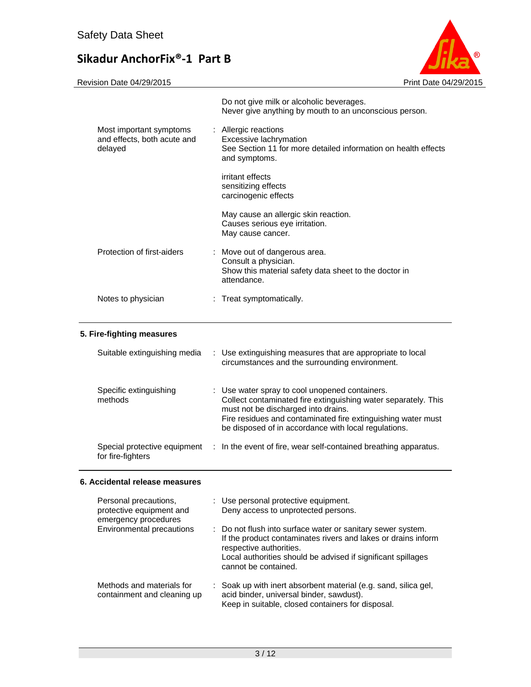

|                                                                   | Do not give milk or alcoholic beverages.<br>Never give anything by mouth to an unconscious person.                                |
|-------------------------------------------------------------------|-----------------------------------------------------------------------------------------------------------------------------------|
| Most important symptoms<br>and effects, both acute and<br>delayed | : Allergic reactions<br>Excessive lachrymation<br>See Section 11 for more detailed information on health effects<br>and symptoms. |
|                                                                   | irritant effects<br>sensitizing effects<br>carcinogenic effects                                                                   |
|                                                                   | May cause an allergic skin reaction.<br>Causes serious eye irritation.<br>May cause cancer.                                       |
| Protection of first-aiders                                        | : Move out of dangerous area.<br>Consult a physician.<br>Show this material safety data sheet to the doctor in<br>attendance.     |
| Notes to physician                                                | : Treat symptomatically.                                                                                                          |

### **5. Fire-fighting measures**

| Suitable extinguishing media                      | : Use extinguishing measures that are appropriate to local<br>circumstances and the surrounding environment.                                                                                                                                                                    |
|---------------------------------------------------|---------------------------------------------------------------------------------------------------------------------------------------------------------------------------------------------------------------------------------------------------------------------------------|
| Specific extinguishing<br>methods                 | : Use water spray to cool unopened containers.<br>Collect contaminated fire extinguishing water separately. This<br>must not be discharged into drains.<br>Fire residues and contaminated fire extinguishing water must<br>be disposed of in accordance with local regulations. |
| Special protective equipment<br>for fire-fighters | : In the event of fire, wear self-contained breathing apparatus.                                                                                                                                                                                                                |

#### **6. Accidental release measures**

| Personal precautions,<br>protective equipment and<br>emergency procedures | : Use personal protective equipment.<br>Deny access to unprotected persons.                                                                                                                                                                     |
|---------------------------------------------------------------------------|-------------------------------------------------------------------------------------------------------------------------------------------------------------------------------------------------------------------------------------------------|
| Environmental precautions                                                 | : Do not flush into surface water or sanitary sewer system.<br>If the product contaminates rivers and lakes or drains inform<br>respective authorities.<br>Local authorities should be advised if significant spillages<br>cannot be contained. |
| Methods and materials for<br>containment and cleaning up                  | : Soak up with inert absorbent material (e.g. sand, silica gel,<br>acid binder, universal binder, sawdust).<br>Keep in suitable, closed containers for disposal.                                                                                |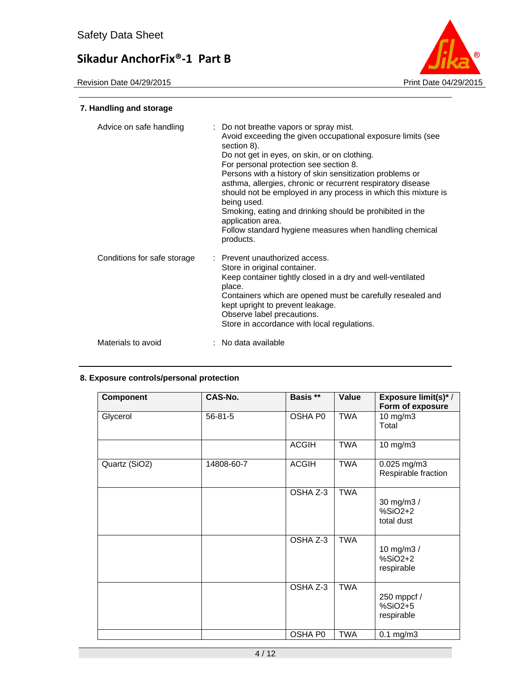

### **7. Handling and storage**

| Advice on safe handling     | : Do not breathe vapors or spray mist.<br>Avoid exceeding the given occupational exposure limits (see<br>section 8).<br>Do not get in eyes, on skin, or on clothing.<br>For personal protection see section 8.<br>Persons with a history of skin sensitization problems or<br>asthma, allergies, chronic or recurrent respiratory disease<br>should not be employed in any process in which this mixture is<br>being used.<br>Smoking, eating and drinking should be prohibited in the<br>application area.<br>Follow standard hygiene measures when handling chemical<br>products. |
|-----------------------------|-------------------------------------------------------------------------------------------------------------------------------------------------------------------------------------------------------------------------------------------------------------------------------------------------------------------------------------------------------------------------------------------------------------------------------------------------------------------------------------------------------------------------------------------------------------------------------------|
| Conditions for safe storage | : Prevent unauthorized access.<br>Store in original container.<br>Keep container tightly closed in a dry and well-ventilated<br>place.<br>Containers which are opened must be carefully resealed and<br>kept upright to prevent leakage.<br>Observe label precautions.<br>Store in accordance with local regulations.                                                                                                                                                                                                                                                               |
| Materials to avoid          | : No data available                                                                                                                                                                                                                                                                                                                                                                                                                                                                                                                                                                 |

#### **8. Exposure controls/personal protection**

| <b>Component</b> | CAS-No.       | Basis **     | Value      | <b>Exposure limit(s)*/</b><br>Form of exposure |
|------------------|---------------|--------------|------------|------------------------------------------------|
| Glycerol         | $56 - 81 - 5$ | OSHA P0      | <b>TWA</b> | 10 mg/m3<br>Total                              |
|                  |               | <b>ACGIH</b> | <b>TWA</b> | $10$ mg/m $3$                                  |
| Quartz (SiO2)    | 14808-60-7    | <b>ACGIH</b> | TWA        | 0.025 mg/m3<br>Respirable fraction             |
|                  |               | OSHA Z-3     | <b>TWA</b> | 30 mg/m3 /<br>$%SiO2+2$<br>total dust          |
|                  |               | OSHA Z-3     | <b>TWA</b> | 10 mg/m3 /<br>$%SiO2+2$<br>respirable          |
|                  |               | OSHA Z-3     | <b>TWA</b> | 250 mppcf /<br>$%SiO2+5$<br>respirable         |
|                  |               | OSHA P0      | <b>TWA</b> | $0.1$ mg/m $3$                                 |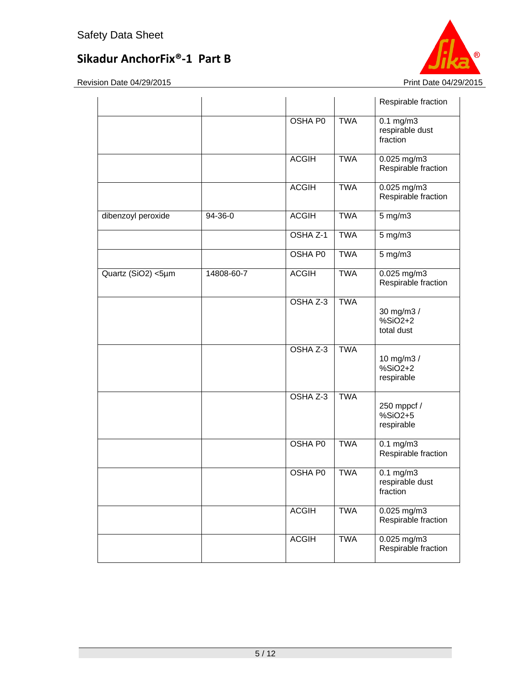

|                    |            |                |            | Respirable fraction                           |
|--------------------|------------|----------------|------------|-----------------------------------------------|
|                    |            | <b>OSHA P0</b> | <b>TWA</b> | $0.1$ mg/m $3$<br>respirable dust<br>fraction |
|                    |            | <b>ACGIH</b>   | <b>TWA</b> | 0.025 mg/m3<br>Respirable fraction            |
|                    |            | <b>ACGIH</b>   | <b>TWA</b> | $0.025$ mg/m3<br>Respirable fraction          |
| dibenzoyl peroxide | 94-36-0    | <b>ACGIH</b>   | <b>TWA</b> | $5$ mg/m $3$                                  |
|                    |            | OSHA Z-1       | <b>TWA</b> | $5$ mg/m $3$                                  |
|                    |            | OSHA P0        | <b>TWA</b> | 5 mg/m3                                       |
| Quartz (SiO2) <5µm | 14808-60-7 | <b>ACGIH</b>   | <b>TWA</b> | $0.025$ mg/m3<br>Respirable fraction          |
|                    |            | OSHA Z-3       | <b>TWA</b> | 30 mg/m3 /<br>$%SiO2+2$<br>total dust         |
|                    |            | OSHA Z-3       | <b>TWA</b> | 10 mg/m3 /<br>$%SiO2+2$<br>respirable         |
|                    |            | OSHA Z-3       | <b>TWA</b> | 250 mppcf /<br>$%SiO2+5$<br>respirable        |
|                    |            | <b>OSHA P0</b> | <b>TWA</b> | $0.1$ mg/m $3$<br>Respirable fraction         |
|                    |            | OSHA P0        | <b>TWA</b> | $0.1$ mg/m $3$<br>respirable dust<br>fraction |
|                    |            | <b>ACGIH</b>   | <b>TWA</b> | 0.025 mg/m3<br>Respirable fraction            |
|                    |            | <b>ACGIH</b>   | <b>TWA</b> | $0.025$ mg/m3<br>Respirable fraction          |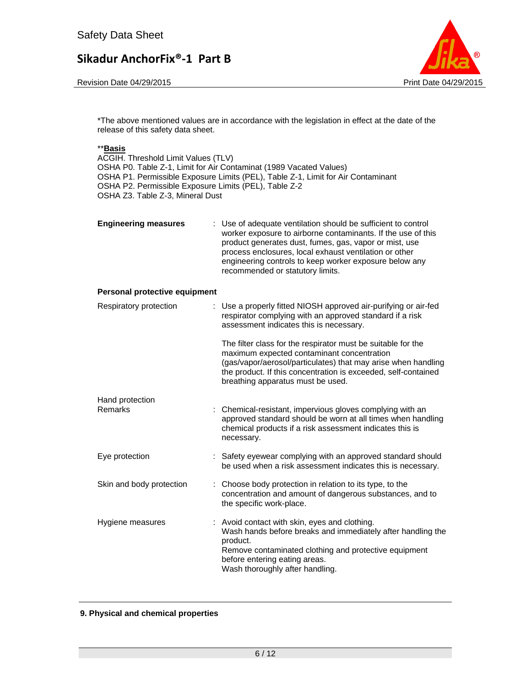Revision Date 04/29/2015 **Print Date 04/29/2015** 



\*The above mentioned values are in accordance with the legislation in effect at the date of the release of this safety data sheet.

#### \*\***Basis**

ACGIH. Threshold Limit Values (TLV) OSHA P0. Table Z-1, Limit for Air Contaminat (1989 Vacated Values) OSHA P1. Permissible Exposure Limits (PEL), Table Z-1, Limit for Air Contaminant OSHA P2. Permissible Exposure Limits (PEL), Table Z-2 OSHA Z3. Table Z-3, Mineral Dust

| <b>Engineering measures</b> | : Use of adequate ventilation should be sufficient to control<br>worker exposure to airborne contaminants. If the use of this<br>product generates dust, fumes, gas, vapor or mist, use<br>process enclosures, local exhaust ventilation or other<br>engineering controls to keep worker exposure below any<br>recommended or statutory limits. |
|-----------------------------|-------------------------------------------------------------------------------------------------------------------------------------------------------------------------------------------------------------------------------------------------------------------------------------------------------------------------------------------------|
|                             |                                                                                                                                                                                                                                                                                                                                                 |

#### **Personal protective equipment**

| Respiratory protection   | : Use a properly fitted NIOSH approved air-purifying or air-fed<br>respirator complying with an approved standard if a risk<br>assessment indicates this is necessary.                                                                                                             |  |
|--------------------------|------------------------------------------------------------------------------------------------------------------------------------------------------------------------------------------------------------------------------------------------------------------------------------|--|
|                          | The filter class for the respirator must be suitable for the<br>maximum expected contaminant concentration<br>(gas/vapor/aerosol/particulates) that may arise when handling<br>the product. If this concentration is exceeded, self-contained<br>breathing apparatus must be used. |  |
| Hand protection          |                                                                                                                                                                                                                                                                                    |  |
| Remarks                  | : Chemical-resistant, impervious gloves complying with an<br>approved standard should be worn at all times when handling<br>chemical products if a risk assessment indicates this is<br>necessary.                                                                                 |  |
| Eye protection           | : Safety eyewear complying with an approved standard should<br>be used when a risk assessment indicates this is necessary.                                                                                                                                                         |  |
| Skin and body protection | : Choose body protection in relation to its type, to the<br>concentration and amount of dangerous substances, and to<br>the specific work-place.                                                                                                                                   |  |
| Hygiene measures         | : Avoid contact with skin, eyes and clothing.<br>Wash hands before breaks and immediately after handling the<br>product.<br>Remove contaminated clothing and protective equipment<br>before entering eating areas.<br>Wash thoroughly after handling.                              |  |

#### **9. Physical and chemical properties**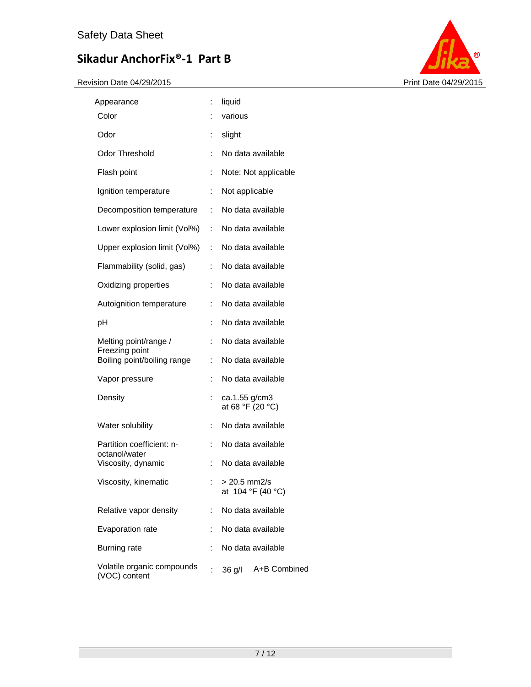

| Appearance                                    | ÷  | liquid                            |
|-----------------------------------------------|----|-----------------------------------|
| Color                                         |    | various                           |
| Odor                                          | ÷  | slight                            |
| <b>Odor Threshold</b>                         | ÷  | No data available                 |
| Flash point                                   | ÷  | Note: Not applicable              |
| Ignition temperature                          | ÷  | Not applicable                    |
| Decomposition temperature                     | t. | No data available                 |
| Lower explosion limit (Vol%)                  | t. | No data available                 |
| Upper explosion limit (Vol%)                  | t. | No data available                 |
| Flammability (solid, gas)                     | t. | No data available                 |
| Oxidizing properties                          | ÷. | No data available                 |
| Autoignition temperature                      | ÷  | No data available                 |
| рH                                            | ÷  | No data available                 |
| Melting point/range /                         | ÷  | No data available                 |
| Freezing point<br>Boiling point/boiling range | t. | No data available                 |
| Vapor pressure                                | ÷  | No data available                 |
| Density                                       |    | ca.1.55 g/cm3<br>at 68 °F (20 °C) |
| Water solubility                              | ÷  | No data available                 |
| Partition coefficient: n-                     |    | No data available                 |
| octanol/water<br>Viscosity, dynamic           | ÷  | No data available                 |
| Viscosity, kinematic                          |    | > 20.5 mm2/s<br>at 104 °F (40 °C) |
| Relative vapor density                        | ÷  | No data available                 |
| Evaporation rate                              | ÷  | No data available                 |
| <b>Burning rate</b>                           | ÷  | No data available                 |
| Volatile organic compounds<br>(VOC) content   | t  | A+B Combined<br>36 g/l            |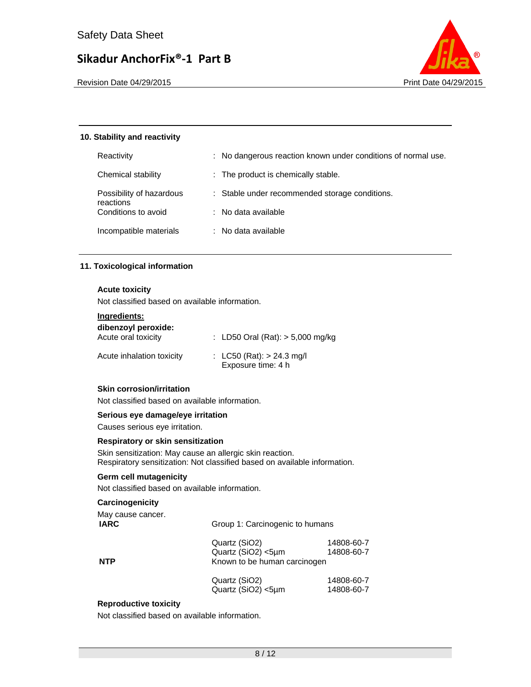

Revision Date 04/29/2015 **Print Date 04/29/2015** Print Date 04/29/2015

#### **10. Stability and reactivity**

| Reactivity                       | : No dangerous reaction known under conditions of normal use. |
|----------------------------------|---------------------------------------------------------------|
| Chemical stability               | : The product is chemically stable.                           |
| Possibility of hazardous         | : Stable under recommended storage conditions.                |
| reactions<br>Conditions to avoid | $\therefore$ No data available                                |
| Incompatible materials           | : No data available                                           |

#### **11. Toxicological information**

#### **Acute toxicity**

Not classified based on available information.

#### **Ingredients:**

| dibenzoyl peroxide:<br>Acute oral toxicity | : LD50 Oral (Rat): $> 5,000$ mg/kg                |
|--------------------------------------------|---------------------------------------------------|
| Acute inhalation toxicity                  | : LC50 (Rat): $> 24.3$ mg/l<br>Exposure time: 4 h |

#### **Skin corrosion/irritation**

Not classified based on available information.

#### **Serious eye damage/eye irritation**

Causes serious eye irritation.

#### **Respiratory or skin sensitization**

Skin sensitization: May cause an allergic skin reaction. Respiratory sensitization: Not classified based on available information.

#### **Germ cell mutagenicity**

Not classified based on available information.

#### **Carcinogenicity**

| May cause cancer.<br><b>IARC</b> | Group 1: Carcinogenic to humans                                     |                          |  |  |
|----------------------------------|---------------------------------------------------------------------|--------------------------|--|--|
| <b>NTP</b>                       | Quartz (SiO2)<br>Quartz (SiO2) <5µm<br>Known to be human carcinogen | 14808-60-7<br>14808-60-7 |  |  |
|                                  | Quartz (SiO2)<br>Quartz (SiO2) <5µm                                 | 14808-60-7<br>14808-60-7 |  |  |

#### **Reproductive toxicity**

Not classified based on available information.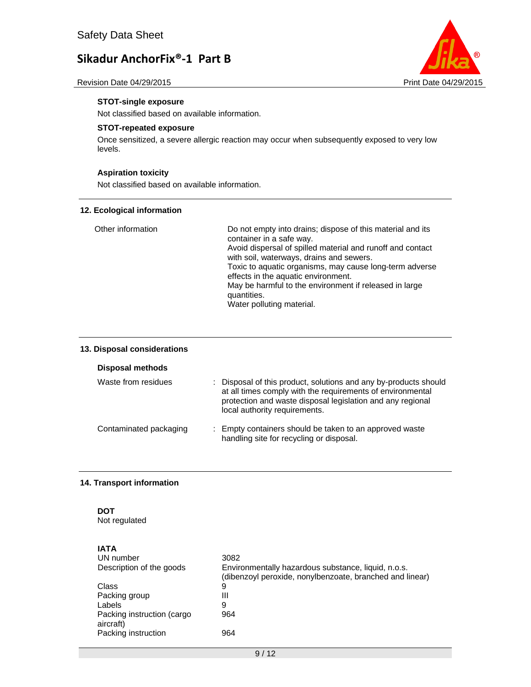



#### **STOT-single exposure**

Not classified based on available information.

#### **STOT-repeated exposure**

Once sensitized, a severe allergic reaction may occur when subsequently exposed to very low levels.

#### **Aspiration toxicity**

Not classified based on available information.

#### **12. Ecological information**

| Other information | Do not empty into drains; dispose of this material and its<br>container in a safe way. |
|-------------------|----------------------------------------------------------------------------------------|
|                   | Avoid dispersal of spilled material and runoff and contact                             |
|                   | with soil, waterways, drains and sewers.                                               |
|                   | Toxic to aquatic organisms, may cause long-term adverse                                |
|                   | effects in the aquatic environment.                                                    |
|                   | May be harmful to the environment if released in large                                 |
|                   | quantities.                                                                            |
|                   | Water polluting material.                                                              |

#### **13. Disposal considerations**

#### **Disposal methods**

| Waste from residues    | : Disposal of this product, solutions and any by-products should<br>at all times comply with the requirements of environmental<br>protection and waste disposal legislation and any regional<br>local authority requirements. |
|------------------------|-------------------------------------------------------------------------------------------------------------------------------------------------------------------------------------------------------------------------------|
| Contaminated packaging | : Empty containers should be taken to an approved waste<br>handling site for recycling or disposal.                                                                                                                           |

#### **14. Transport information**

# **DOT**

**IATA** 

Not regulated

| IAIA                                    |                                                                                                                 |
|-----------------------------------------|-----------------------------------------------------------------------------------------------------------------|
| UN number                               | 3082                                                                                                            |
| Description of the goods                | Environmentally hazardous substance, liquid, n.o.s.<br>(dibenzoyl peroxide, nonylbenzoate, branched and linear) |
| Class                                   | 9                                                                                                               |
| Packing group                           | Ш                                                                                                               |
| Labels                                  | 9                                                                                                               |
| Packing instruction (cargo<br>aircraft) | 964                                                                                                             |
| Packing instruction                     | 964                                                                                                             |
|                                         |                                                                                                                 |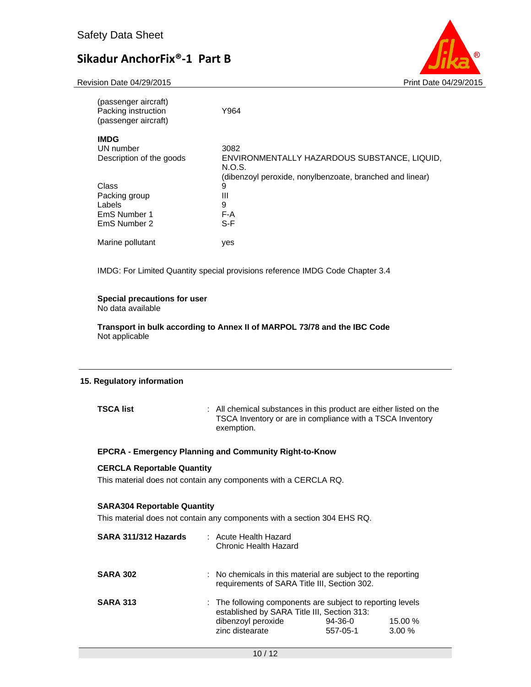Revision Date 04/29/2015 **Print Date 04/29/2015** Print Date 04/29/2015



| Y964                                                     |
|----------------------------------------------------------|
|                                                          |
| 3082                                                     |
| ENVIRONMENTALLY HAZARDOUS SUBSTANCE, LIQUID,<br>N.O.S.   |
| (dibenzoyl peroxide, nonylbenzoate, branched and linear) |
| 9                                                        |
| Ш                                                        |
| 9                                                        |
| F-A                                                      |
| S-F                                                      |
| yes                                                      |
|                                                          |

IMDG: For Limited Quantity special provisions reference IMDG Code Chapter 3.4

#### **Special precautions for user**

No data available

**Transport in bulk according to Annex II of MARPOL 73/78 and the IBC Code**  Not applicable

#### **15. Regulatory information**

**TSCA list** : All chemical substances in this product are either listed on the TSCA Inventory or are in compliance with a TSCA Inventory exemption.

#### **EPCRA - Emergency Planning and Community Right-to-Know**

#### **CERCLA Reportable Quantity**

This material does not contain any components with a CERCLA RQ.

#### **SARA304 Reportable Quantity**

This material does not contain any components with a section 304 EHS RQ.

| SARA 311/312 Hazards | : Acute Health Hazard<br>Chronic Health Hazard                                                                                                     |                       |                     |
|----------------------|----------------------------------------------------------------------------------------------------------------------------------------------------|-----------------------|---------------------|
| <b>SARA 302</b>      | : No chemicals in this material are subject to the reporting<br>requirements of SARA Title III, Section 302.                                       |                       |                     |
| <b>SARA 313</b>      | : The following components are subject to reporting levels<br>established by SARA Title III, Section 313:<br>dibenzoyl peroxide<br>zinc distearate | $94-36-0$<br>557-05-1 | 15.00 %<br>$3.00\%$ |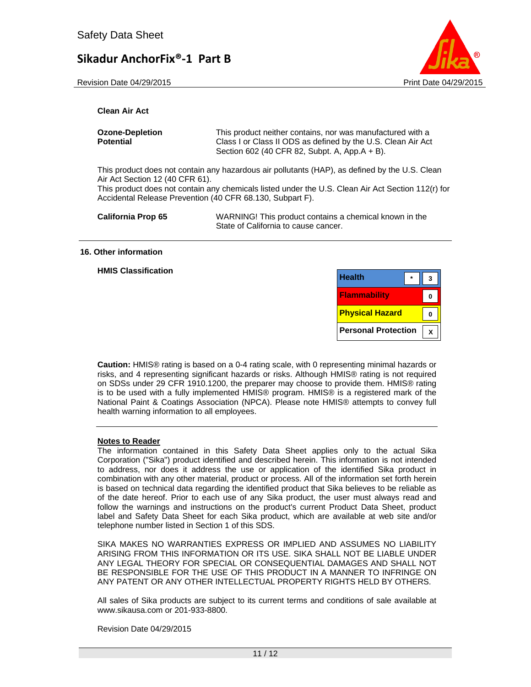Revision Date 04/29/2015 **Print Date 04/29/2015** Print Date 04/29/2015



#### **Clean Air Act**

| <b>Ozone-Depletion</b> | This product neither contains, nor was manufactured with a                                                    |
|------------------------|---------------------------------------------------------------------------------------------------------------|
| Potential              | Class I or Class II ODS as defined by the U.S. Clean Air Act<br>Section 602 (40 CFR 82, Subpt. A, App.A + B). |
|                        | This product does not contain only bo-orderin of rollisheds (UAD), as defined by the U.C. Clear               |

This product does not contain any hazardous air pollutants (HAP), as defined by the U.S. Clean Air Act Section 12 (40 CFR 61).

This product does not contain any chemicals listed under the U.S. Clean Air Act Section 112(r) for Accidental Release Prevention (40 CFR 68.130, Subpart F).

**California Prop 65** WARNING! This product contains a chemical known in the State of California to cause cancer.

#### **16. Other information**

**HMIS Classification** 

| <b>Health</b>              |  |
|----------------------------|--|
| <b>Flammability</b>        |  |
| <b>Physical Hazard</b>     |  |
| <b>Personal Protection</b> |  |

**Caution:** HMIS® rating is based on a 0-4 rating scale, with 0 representing minimal hazards or risks, and 4 representing significant hazards or risks. Although HMIS® rating is not required on SDSs under 29 CFR 1910.1200, the preparer may choose to provide them. HMIS® rating is to be used with a fully implemented HMIS® program. HMIS® is a registered mark of the National Paint & Coatings Association (NPCA). Please note HMIS® attempts to convey full health warning information to all employees.

#### **Notes to Reader**

The information contained in this Safety Data Sheet applies only to the actual Sika Corporation ("Sika") product identified and described herein. This information is not intended to address, nor does it address the use or application of the identified Sika product in combination with any other material, product or process. All of the information set forth herein is based on technical data regarding the identified product that Sika believes to be reliable as of the date hereof. Prior to each use of any Sika product, the user must always read and follow the warnings and instructions on the product's current Product Data Sheet, product label and Safety Data Sheet for each Sika product, which are available at web site and/or telephone number listed in Section 1 of this SDS.

SIKA MAKES NO WARRANTIES EXPRESS OR IMPLIED AND ASSUMES NO LIABILITY ARISING FROM THIS INFORMATION OR ITS USE. SIKA SHALL NOT BE LIABLE UNDER ANY LEGAL THEORY FOR SPECIAL OR CONSEQUENTIAL DAMAGES AND SHALL NOT BE RESPONSIBLE FOR THE USE OF THIS PRODUCT IN A MANNER TO INFRINGE ON ANY PATENT OR ANY OTHER INTELLECTUAL PROPERTY RIGHTS HELD BY OTHERS.

All sales of Sika products are subject to its current terms and conditions of sale available at www.sikausa.com or 201-933-8800.

Revision Date 04/29/2015